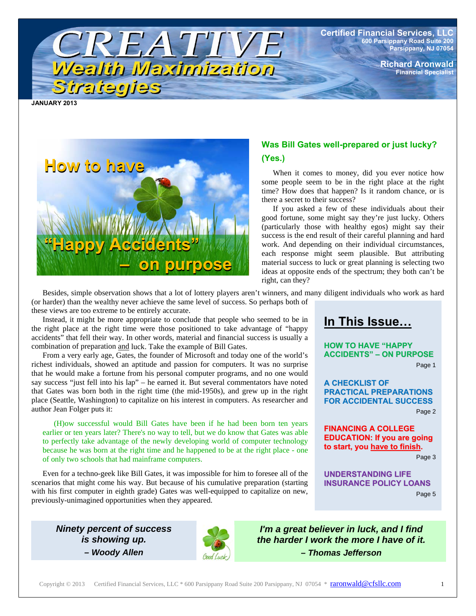**Certified Financial Services, LLC 600 Parsippany Road Suite 200 Parsippany, NJ 07054** 

> **Richard Aronwald Financial Specialist**

**JANUARY 2013** 

Strategies



### **Was Bill Gates well-prepared or just lucky? (Yes.)**

When it comes to money, did you ever notice how some people seem to be in the right place at the right time? How does that happen? Is it random chance, or is there a secret to their success?

If you asked a few of these individuals about their good fortune, some might say they're just lucky. Others (particularly those with healthy egos) might say their success is the end result of their careful planning and hard work. And depending on their individual circumstances, each response might seem plausible. But attributing material success to luck or great planning is selecting two ideas at opposite ends of the spectrum; they both can't be right, can they?

Besides, simple observation shows that a lot of lottery players aren't winners, and many diligent individuals who work as hard (or harder) than the wealthy never achieve the same level of success. So perhaps both of these views are too extreme to be entirely accurate.

Instead, it might be more appropriate to conclude that people who seemed to be in the right place at the right time were those positioned to take advantage of "happy accidents" that fell their way. In other words, material and financial success is usually a combination of preparation and luck. Take the example of Bill Gates.

TREATIVE

Wealth Maximization

From a very early age, Gates, the founder of Microsoft and today one of the world's richest individuals, showed an aptitude and passion for computers. It was no surprise that he would make a fortune from his personal computer programs, and no one would say success "just fell into his lap" – he earned it. But several commentators have noted that Gates was born both in the right time (the mid-1950s), and grew up in the right place (Seattle, Washington) to capitalize on his interest in computers. As researcher and author Jean Folger puts it:

(H)ow successful would Bill Gates have been if he had been born ten years earlier or ten years later? There's no way to tell, but we do know that Gates was able to perfectly take advantage of the newly developing world of computer technology because he was born at the right time and he happened to be at the right place - one of only two schools that had mainframe computers.

Even for a techno-geek like Bill Gates, it was impossible for him to foresee all of the scenarios that might come his way. But because of his cumulative preparation (starting with his first computer in eighth grade) Gates was well-equipped to capitalize on new, previously-unimagined opportunities when they appeared.

## **In This Issue…**

**HOW TO HAVE "HAPPY ACCIDENTS" – ON PURPOSE**

Page 1

**A CHECKLIST OF PRACTICAL PREPARATIONS FOR ACCIDENTAL SUCCESS**

Page 2

**FINANCING A COLLEGE EDUCATION: If you are going to start, you have to finish.**

Page 3

**UNDERSTANDING LIFE INSURANCE POLICY LOANS**

Page 5

*Ninety percent of success is showing up. – Woody Allen* 



*I'm a great believer in luck, and I find the harder I work the more I have of it. – Thomas Jefferson*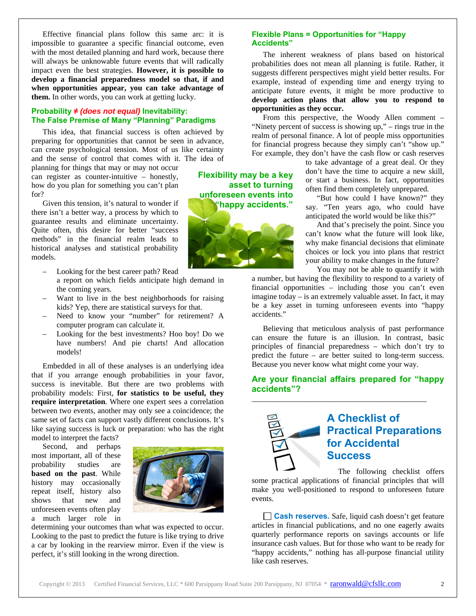Effective financial plans follow this same arc: it is impossible to guarantee a specific financial outcome, even with the most detailed planning and hard work, because there will always be unknowable future events that will radically impact even the best strategies. **However, it is possible to develop a financial preparedness model so that, if and when opportunities appear, you can take advantage of them.** In other words, you can work at getting lucky.

#### **Probability ≠** *(does not equal)* **Inevitability: The False Premise of Many "Planning" Paradigms**

This idea, that financial success is often achieved by preparing for opportunities that cannot be seen in advance, can create psychological tension. Most of us like certainty and the sense of control that comes with it. The idea of

planning for things that may or may not occur can register as counter-intuitive – honestly, how do you plan for something you can't plan for?

Given this tension, it's natural to wonder if there isn't a better way, a process by which to guarantee results and eliminate uncertainty. Quite often, this desire for better "success methods" in the financial realm leads to historical analyses and statistical probability models.

- Looking for the best career path? Read
- a report on which fields anticipate high demand in the coming years.
- Want to live in the best neighborhoods for raising kids? Yep, there are statistical surveys for that.
- Need to know your "number" for retirement? A computer program can calculate it.
- Looking for the best investments? Hoo boy! Do we have numbers! And pie charts! And allocation models!

Embedded in all of these analyses is an underlying idea that if you arrange enough probabilities in your favor, success is inevitable. But there are two problems with probability models: First, **for statistics to be useful, they require interpretation**. Where one expert sees a correlation between two events, another may only see a coincidence; the same set of facts can support vastly different conclusions. It's like saying success is luck or preparation: who has the right model to interpret the facts?

Second, and perhaps most important, all of these probability studies are **based on the past**. While history may occasionally repeat itself, history also shows that new and unforeseen events often play

a much larger role in



determining your outcomes than what was expected to occur. Looking to the past to predict the future is like trying to drive a car by looking in the rearview mirror. Even if the view is perfect, it's still looking in the wrong direction.

**Flexibility may be a key asset to turning unforeseen events into "happy accidents."** 



#### **Flexible Plans = Opportunities for "Happy Accidents"**

The inherent weakness of plans based on historical probabilities does not mean all planning is futile. Rather, it suggests different perspectives might yield better results. For example, instead of expending time and energy trying to anticipate future events, it might be more productive to **develop action plans that allow you to respond to opportunities as they occur.** 

From this perspective, the Woody Allen comment – "Ninety percent of success is showing up," – rings true in the realm of personal finance. A lot of people miss opportunities for financial progress because they simply can't "show up." For example, they don't have the cash flow or cash reserves

> to take advantage of a great deal. Or they don't have the time to acquire a new skill, or start a business. In fact, opportunities often find them completely unprepared.

> "But how could I have known?" they say. "Ten years ago, who could have anticipated the world would be like this?"

> And that's precisely the point. Since you can't know what the future will look like, why make financial decisions that eliminate choices or lock you into plans that restrict your ability to make changes in the future?

You may not be able to quantify it with

a number, but having the flexibility to respond to a variety of financial opportunities – including those you can't even imagine today – is an extremely valuable asset. In fact, it may be a key asset in turning unforeseen events into "happy accidents."

Believing that meticulous analysis of past performance can ensure the future is an illusion. In contrast, basic principles of financial preparedness – which don't try to predict the future – are better suited to long-term success. Because you never know what might come your way.

#### **Are your financial affairs prepared for "happy accidents"?**

\_\_\_\_\_\_\_\_\_\_\_\_\_\_\_\_\_\_\_\_\_\_\_\_\_\_\_\_\_\_\_\_\_\_\_\_\_\_\_\_\_\_\_\_\_

## **A Checklist of Practical Preparations for Accidental Success**

The following checklist offers

some practical applications of financial principles that will make you well-positioned to respond to unforeseen future events.

**Cash reserves.** Safe, liquid cash doesn't get feature articles in financial publications, and no one eagerly awaits quarterly performance reports on savings accounts or life insurance cash values. But for those who want to be ready for "happy accidents," nothing has all-purpose financial utility like cash reserves.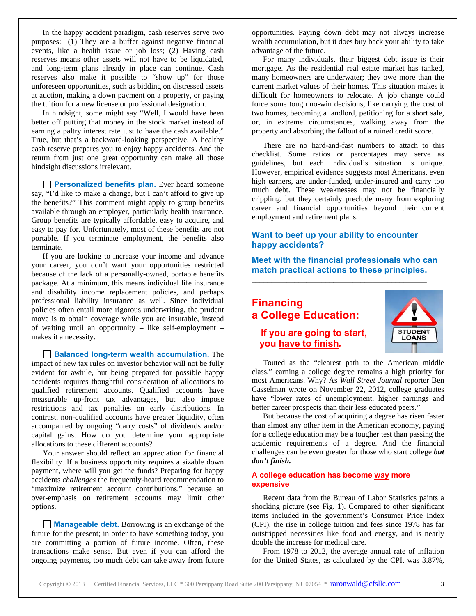In the happy accident paradigm, cash reserves serve two purposes: (1) They are a buffer against negative financial events, like a health issue or job loss; (2) Having cash reserves means other assets will not have to be liquidated, and long-term plans already in place can continue. Cash reserves also make it possible to "show up" for those unforeseen opportunities, such as bidding on distressed assets at auction, making a down payment on a property, or paying the tuition for a new license or professional designation.

In hindsight, some might say "Well, I would have been better off putting that money in the stock market instead of earning a paltry interest rate just to have the cash available." True, but that's a backward-looking perspective. A healthy cash reserve prepares you to enjoy happy accidents. And the return from just one great opportunity can make all those hindsight discussions irrelevant.

**Personalized benefits plan.** Ever heard someone say, "I'd like to make a change, but I can't afford to give up the benefits?" This comment might apply to group benefits available through an employer, particularly health insurance. Group benefits are typically affordable, easy to acquire, and easy to pay for. Unfortunately, most of these benefits are not portable. If you terminate employment, the benefits also terminate.

If you are looking to increase your income and advance your career, you don't want your opportunities restricted because of the lack of a personally-owned, portable benefits package. At a minimum, this means individual life insurance and disability income replacement policies, and perhaps professional liability insurance as well. Since individual policies often entail more rigorous underwriting, the prudent move is to obtain coverage while you are insurable, instead of waiting until an opportunity – like self-employment – makes it a necessity.

**Balanced long-term wealth accumulation.** The impact of new tax rules on investor behavior will not be fully evident for awhile, but being prepared for possible happy accidents requires thoughtful consideration of allocations to qualified retirement accounts. Qualified accounts have measurable up-front tax advantages, but also impose restrictions and tax penalties on early distributions. In contrast, non-qualified accounts have greater liquidity, often accompanied by ongoing "carry costs" of dividends and/or capital gains. How do you determine your appropriate allocations to these different accounts?

Your answer should reflect an appreciation for financial flexibility. If a business opportunity requires a sizable down payment, where will you get the funds? Preparing for happy accidents *challenges* the frequently-heard recommendation to "maximize retirement account contributions," because an over-emphasis on retirement accounts may limit other options.

**Manageable debt.** Borrowing is an exchange of the future for the present; in order to have something today, you are committing a portion of future income. Often, these transactions make sense. But even if you can afford the ongoing payments, too much debt can take away from future

opportunities. Paying down debt may not always increase wealth accumulation, but it does buy back your ability to take advantage of the future.

For many individuals, their biggest debt issue is their mortgage. As the residential real estate market has tanked, many homeowners are underwater; they owe more than the current market values of their homes. This situation makes it difficult for homeowners to relocate. A job change could force some tough no-win decisions, like carrying the cost of two homes, becoming a landlord, petitioning for a short sale, or, in extreme circumstances, walking away from the property and absorbing the fallout of a ruined credit score.

There are no hard-and-fast numbers to attach to this checklist. Some ratios or percentages may serve as guidelines, but each individual's situation is unique. However, empirical evidence suggests most Americans, even high earners, are under-funded, under-insured and carry too much debt. These weaknesses may not be financially crippling, but they certainly preclude many from exploring career and financial opportunities beyond their current employment and retirement plans.

#### **Want to beef up your ability to encounter happy accidents?**

**Meet with the financial professionals who can match practical actions to these principles.** 

\_\_\_\_\_\_\_\_\_\_\_\_\_\_\_\_\_\_\_\_\_\_\_\_\_\_\_\_\_\_\_\_\_\_\_\_\_\_\_\_\_\_\_\_\_

### **Financing a College Education: If you are going to start, you have to finish***.*



Touted as the "clearest path to the American middle class," earning a college degree remains a high priority for most Americans. Why? As *Wall Street Journal* reporter Ben Casselman wrote on November 22, 2012, college graduates have "lower rates of unemployment, higher earnings and better career prospects than their less educated peers."

But because the cost of acquiring a degree has risen faster than almost any other item in the American economy, paying for a college education may be a tougher test than passing the academic requirements of a degree. And the financial challenges can be even greater for those who start college *but don't finish.*

#### **A college education has become way more expensive**

Recent data from the Bureau of Labor Statistics paints a shocking picture (see Fig. 1). Compared to other significant items included in the government's Consumer Price Index (CPI), the rise in college tuition and fees since 1978 has far outstripped necessities like food and energy, and is nearly double the increase for medical care.

From 1978 to 2012, the average annual rate of inflation for the United States, as calculated by the CPI, was 3.87%,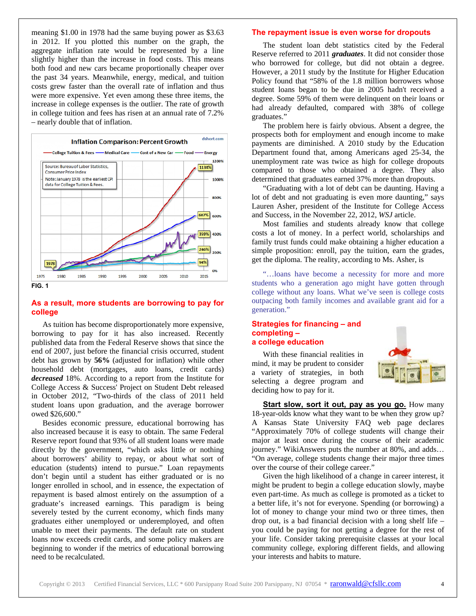meaning \$1.00 in 1978 had the same buying power as \$3.63 in 2012. If you plotted this number on the graph, the aggregate inflation rate would be represented by a line slightly higher than the increase in food costs. This means both food and new cars became proportionally cheaper over the past 34 years. Meanwhile, energy, medical, and tuition costs grew faster than the overall rate of inflation and thus were more expensive. Yet even among these three items, the increase in college expenses is the outlier. The rate of growth in college tuition and fees has risen at an annual rate of 7.2% – nearly double that of inflation.



#### **As a result, more students are borrowing to pay for college**

As tuition has become disproportionately more expensive, borrowing to pay for it has also increased. Recently published data from the Federal Reserve shows that since the end of 2007, just before the financial crisis occurred, student debt has grown by **56%** (adjusted for inflation) while other household debt (mortgages, auto loans, credit cards) *decreased* 18%. According to a report from the Institute for College Access & Success' Project on Student Debt released in October 2012, "Two-thirds of the class of 2011 held student loans upon graduation, and the average borrower owed \$26,600."

Besides economic pressure, educational borrowing has also increased because it is easy to obtain. The same Federal Reserve report found that 93% of all student loans were made directly by the government, "which asks little or nothing about borrowers' ability to repay, or about what sort of education (students) intend to pursue." Loan repayments don't begin until a student has either graduated or is no longer enrolled in school, and in essence, the expectation of repayment is based almost entirely on the assumption of a graduate's increased earnings. This paradigm is being severely tested by the current economy, which finds many graduates either unemployed or underemployed, and often unable to meet their payments. The default rate on student loans now exceeds credit cards, and some policy makers are beginning to wonder if the metrics of educational borrowing need to be recalculated.

#### **The repayment issue is even worse for dropouts**

The student loan debt statistics cited by the Federal Reserve referred to 2011 *graduates*. It did not consider those who borrowed for college, but did not obtain a degree. However, a 2011 study by the Institute for Higher Education Policy found that "58% of the 1.8 million borrowers whose student loans began to be due in 2005 hadn't received a degree. Some 59% of them were delinquent on their loans or had already defaulted, compared with 38% of college graduates."

The problem here is fairly obvious. Absent a degree, the prospects both for employment and enough income to make payments are diminished. A 2010 study by the Education Department found that, among Americans aged 25-34, the unemployment rate was twice as high for college dropouts compared to those who obtained a degree. They also determined that graduates earned 37% more than dropouts.

"Graduating with a lot of debt can be daunting. Having a lot of debt and not graduating is even more daunting," says Lauren Asher, president of the Institute for College Access and Success, in the November 22, 2012, *WSJ* article.

Most families and students already know that college costs a lot of money. In a perfect world, scholarships and family trust funds could make obtaining a higher education a simple proposition: enroll, pay the tuition, earn the grades, get the diploma. The reality, according to Ms. Asher, is

"…loans have become a necessity for more and more students who a generation ago might have gotten through college without any loans. What we've seen is college costs outpacing both family incomes and available grant aid for a generation."

#### **Strategies for financing – and completing – a college education**

With these financial realities in mind, it may be prudent to consider a variety of strategies, in both selecting a degree program and deciding how to pay for it.



**Start slow, sort it out, pay as you go.** How many 18-year-olds know what they want to be when they grow up? A Kansas State University FAQ web page declares "Approximately 70% of college students will change their major at least once during the course of their academic journey." WikiAnswers puts the number at 80%, and adds… "On average, college students change their major three times over the course of their college career."

Given the high likelihood of a change in career interest, it might be prudent to begin a college education slowly, maybe even part-time. As much as college is promoted as a ticket to a better life, it's not for everyone. Spending (or borrowing) a lot of money to change your mind two or three times, then drop out, is a bad financial decision with a long shelf life – you could be paying for not getting a degree for the rest of your life. Consider taking prerequisite classes at your local community college, exploring different fields, and allowing your interests and habits to mature.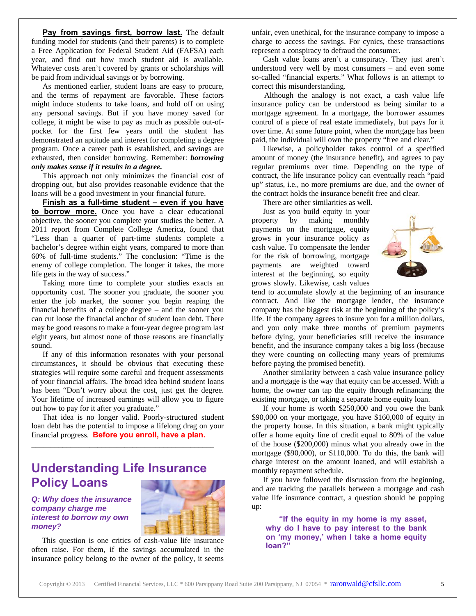Pay from savings first, borrow last. The default funding model for students (and their parents) is to complete a Free Application for Federal Student Aid (FAFSA) each year, and find out how much student aid is available. Whatever costs aren't covered by grants or scholarships will be paid from individual savings or by borrowing.

As mentioned earlier, student loans are easy to procure, and the terms of repayment are favorable. These factors might induce students to take loans, and hold off on using any personal savings. But if you have money saved for college, it might be wise to pay as much as possible out-ofpocket for the first few years until the student has demonstrated an aptitude and interest for completing a degree program. Once a career path is established, and savings are exhausted, then consider borrowing. Remember: *borrowing only makes sense if it results in a degree.*

This approach not only minimizes the financial cost of dropping out, but also provides reasonable evidence that the loans will be a good investment in your financial future.

**Finish as a full-time student – even if you have to borrow more.** Once you have a clear educational objective, the sooner you complete your studies the better. A 2011 report from Complete College America, found that "Less than a quarter of part-time students complete a bachelor's degree within eight years, compared to more than 60% of full-time students." The conclusion: "Time is the enemy of college completion. The longer it takes, the more life gets in the way of success."

Taking more time to complete your studies exacts an opportunity cost. The sooner you graduate, the sooner you enter the job market, the sooner you begin reaping the financial benefits of a college degree – and the sooner you can cut loose the financial anchor of student loan debt. There may be good reasons to make a four-year degree program last eight years, but almost none of those reasons are financially sound.

If any of this information resonates with your personal circumstances, it should be obvious that executing these strategies will require some careful and frequent assessments of your financial affairs. The broad idea behind student loans has been "Don't worry about the cost, just get the degree. Your lifetime of increased earnings will allow you to figure out how to pay for it after you graduate."

That idea is no longer valid. Poorly-structured student loan debt has the potential to impose a lifelong drag on your financial progress. **Before you enroll, have a plan.**

\_\_\_\_\_\_\_\_\_\_\_\_\_\_\_\_\_\_\_\_\_\_\_\_\_\_\_\_\_\_\_\_\_\_\_\_\_\_\_\_\_\_\_\_\_\_\_

# **Understanding Life Insurance Policy Loans**

*Q: Why does the insurance company charge me interest to borrow my own money?* 



This question is one critics of cash-value life insurance often raise. For them, if the savings accumulated in the insurance policy belong to the owner of the policy, it seems

unfair, even unethical, for the insurance company to impose a charge to access the savings. For cynics, these transactions represent a conspiracy to defraud the consumer.

Cash value loans aren't a conspiracy. They just aren't understood very well by most consumers – and even some so-called "financial experts." What follows is an attempt to correct this misunderstanding.

Although the analogy is not exact, a cash value life insurance policy can be understood as being similar to a mortgage agreement. In a mortgage, the borrower assumes control of a piece of real estate immediately, but pays for it over time. At some future point, when the mortgage has been paid, the individual will own the property "free and clear."

Likewise, a policyholder takes control of a specified amount of money (the insurance benefit), and agrees to pay regular premiums over time. Depending on the type of contract, the life insurance policy can eventually reach "paid up" status, i.e., no more premiums are due, and the owner of the contract holds the insurance benefit free and clear.

There are other similarities as well.

Just as you build equity in your property by making monthly payments on the mortgage, equity grows in your insurance policy as cash value. To compensate the lender for the risk of borrowing, mortgage payments are weighted toward interest at the beginning, so equity grows slowly. Likewise, cash values



tend to accumulate slowly at the beginning of an insurance contract. And like the mortgage lender, the insurance company has the biggest risk at the beginning of the policy's life. If the company agrees to insure you for a million dollars, and you only make three months of premium payments before dying, your beneficiaries still receive the insurance benefit, and the insurance company takes a big loss (because they were counting on collecting many years of premiums before paying the promised benefit).

Another similarity between a cash value insurance policy and a mortgage is the way that equity can be accessed. With a home, the owner can tap the equity through refinancing the existing mortgage, or taking a separate home equity loan.

If your home is worth \$250,000 and you owe the bank \$90,000 on your mortgage, you have \$160,000 of equity in the property house. In this situation, a bank might typically offer a home equity line of credit equal to 80% of the value of the house (\$200,000) minus what you already owe in the mortgage (\$90,000), or \$110,000. To do this, the bank will charge interest on the amount loaned, and will establish a monthly repayment schedule.

If you have followed the discussion from the beginning, and are tracking the parallels between a mortgage and cash value life insurance contract, a question should be popping up:

 **"If the equity in my home is my asset, why do I have to pay interest to the bank on 'my money,' when I take a home equity loan?"**